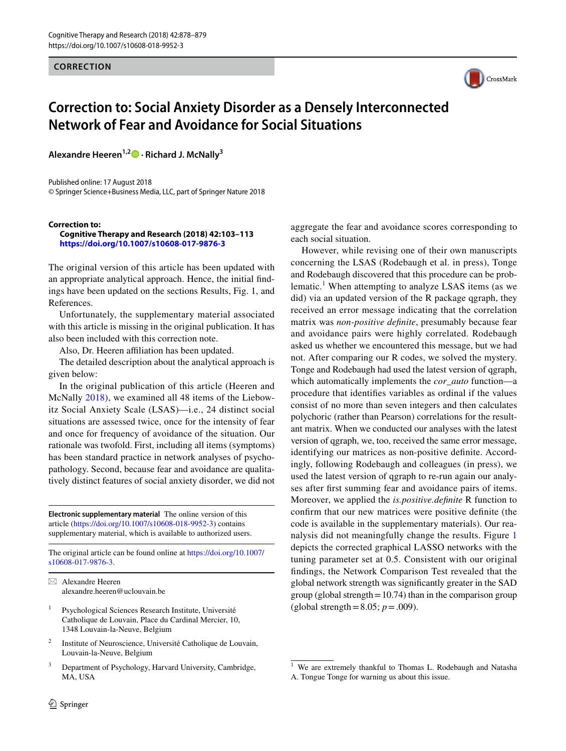**CORRECTION**



# **Correction to: Social Anxiety Disorder as a Densely Interconnected Network of Fear and Avoidance for Social Situations**

**Alexandre Heeren1,2  [·](http://orcid.org/0000-0003-0553-6149) Richard J. McNally3**

Published online: 17 August 2018 © Springer Science+Business Media, LLC, part of Springer Nature 2018

#### **Correction to:**

#### **Cognitive Therapy and Research (2018) 42:103–113 <https://doi.org/10.1007/s10608-017-9876-3>**

The original version of this article has been updated with an appropriate analytical approach. Hence, the initial findings have been updated on the sections Results, Fig. 1, and References.

Unfortunately, the supplementary material associated with this article is missing in the original publication. It has also been included with this correction note.

Also, Dr. Heeren affiliation has been updated.

The detailed description about the analytical approach is given below:

In the original publication of this article (Heeren and McNally [2018](#page-1-0)), we examined all 48 items of the Liebowitz Social Anxiety Scale (LSAS)—i.e., 24 distinct social situations are assessed twice, once for the intensity of fear and once for frequency of avoidance of the situation. Our rationale was twofold. First, including all items (symptoms) has been standard practice in network analyses of psychopathology. Second, because fear and avoidance are qualitatively distinct features of social anxiety disorder, we did not

**Electronic supplementary material** The online version of this article [\(https://doi.org/10.1007/s10608-018-9952-3\)](https://doi.org/10.1007/s10608-018-9952-3) contains supplementary material, which is available to authorized users.

The original article can be found online at [https://doi.org/10.1007/](https://doi.org/10.1007/s10608-017-9876-3) [s10608-017-9876-3.](https://doi.org/10.1007/s10608-017-9876-3)

 $\boxtimes$  Alexandre Heeren alexandre.heeren@uclouvain.be

- Psychological Sciences Research Institute, Université Catholique de Louvain, Place du Cardinal Mercier, 10, 1348 Louvain-la-Neuve, Belgium
- <sup>2</sup> Institute of Neuroscience, Université Catholique de Louvain, Louvain-la-Neuve, Belgium
- <sup>3</sup> Department of Psychology, Harvard University, Cambridge, MA, USA

aggregate the fear and avoidance scores corresponding to each social situation.

However, while revising one of their own manuscripts concerning the LSAS (Rodebaugh et al. in press), Tonge and Rodebaugh discovered that this procedure can be prob-lematic.<sup>[1](#page-0-0)</sup> When attempting to analyze LSAS items (as we did) via an updated version of the R package qgraph, they received an error message indicating that the correlation matrix was *non-positive definite*, presumably because fear and avoidance pairs were highly correlated. Rodebaugh asked us whether we encountered this message, but we had not. After comparing our R codes, we solved the mystery. Tonge and Rodebaugh had used the latest version of qgraph, which automatically implements the *cor\_auto* function—a procedure that identifies variables as ordinal if the values consist of no more than seven integers and then calculates polychoric (rather than Pearson) correlations for the resultant matrix. When we conducted our analyses with the latest version of qgraph, we, too, received the same error message, identifying our matrices as non-positive definite. Accordingly, following Rodebaugh and colleagues (in press), we used the latest version of qgraph to re-run again our analyses after first summing fear and avoidance pairs of items. Moreover, we applied the *is.positive.definite* R function to confirm that our new matrices were positive definite (the code is available in the supplementary materials). Our reanalysis did not meaningfully change the results. Figure [1](#page-1-1) depicts the corrected graphical LASSO networks with the tuning parameter set at 0.5. Consistent with our original findings, the Network Comparison Test revealed that the global network strength was significantly greater in the SAD group (global strength $=10.74$ ) than in the comparison group (global strength =  $8.05; p = .009$ ).

<span id="page-0-0"></span><sup>&</sup>lt;sup>1</sup> We are extremely thankful to Thomas L. Rodebaugh and Natasha A. Tongue Tonge for warning us about this issue.